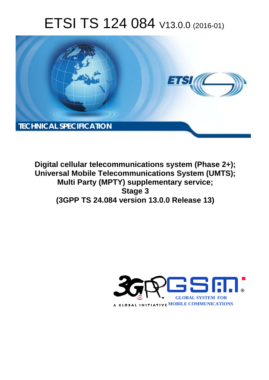# ETSI TS 124 084 V13.0.0 (2016-01)



**Digital cellular telecommunications system (Phase 2+); Universal Mobile Tel elecommunications System ( (UMTS); Multi Party (MPTY) supplementary service; (3GPP TS 24.0 .084 version 13.0.0 Release 13 13) Stage 3** 

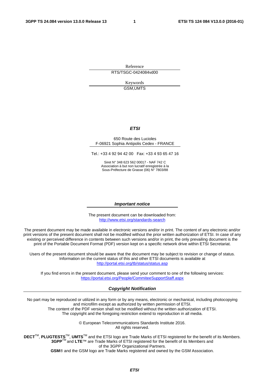Reference RTS/TSGC-0424084vd00

> Keywords GSM,UMTS

#### *ETSI*

#### 650 Route des Lucioles F-06921 Sophia Antipolis Cedex - FRANCE

Tel.: +33 4 92 94 42 00 Fax: +33 4 93 65 47 16

Siret N° 348 623 562 00017 - NAF 742 C Association à but non lucratif enregistrée à la Sous-Préfecture de Grasse (06) N° 7803/88

#### *Important notice*

The present document can be downloaded from: <http://www.etsi.org/standards-search>

The present document may be made available in electronic versions and/or in print. The content of any electronic and/or print versions of the present document shall not be modified without the prior written authorization of ETSI. In case of any existing or perceived difference in contents between such versions and/or in print, the only prevailing document is the print of the Portable Document Format (PDF) version kept on a specific network drive within ETSI Secretariat.

Users of the present document should be aware that the document may be subject to revision or change of status. Information on the current status of this and other ETSI documents is available at <http://portal.etsi.org/tb/status/status.asp>

If you find errors in the present document, please send your comment to one of the following services: <https://portal.etsi.org/People/CommiteeSupportStaff.aspx>

#### *Copyright Notification*

No part may be reproduced or utilized in any form or by any means, electronic or mechanical, including photocopying and microfilm except as authorized by written permission of ETSI.

The content of the PDF version shall not be modified without the written authorization of ETSI. The copyright and the foregoing restriction extend to reproduction in all media.

> © European Telecommunications Standards Institute 2016. All rights reserved.

**DECT**TM, **PLUGTESTS**TM, **UMTS**TM and the ETSI logo are Trade Marks of ETSI registered for the benefit of its Members. **3GPP**TM and **LTE**™ are Trade Marks of ETSI registered for the benefit of its Members and of the 3GPP Organizational Partners.

**GSM**® and the GSM logo are Trade Marks registered and owned by the GSM Association.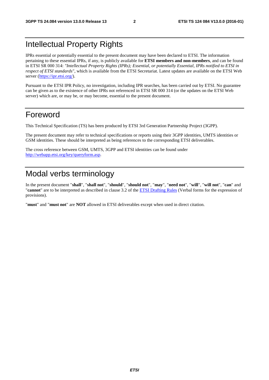### Intellectual Property Rights

IPRs essential or potentially essential to the present document may have been declared to ETSI. The information pertaining to these essential IPRs, if any, is publicly available for **ETSI members and non-members**, and can be found in ETSI SR 000 314: *"Intellectual Property Rights (IPRs); Essential, or potentially Essential, IPRs notified to ETSI in respect of ETSI standards"*, which is available from the ETSI Secretariat. Latest updates are available on the ETSI Web server [\(https://ipr.etsi.org/](https://ipr.etsi.org/)).

Pursuant to the ETSI IPR Policy, no investigation, including IPR searches, has been carried out by ETSI. No guarantee can be given as to the existence of other IPRs not referenced in ETSI SR 000 314 (or the updates on the ETSI Web server) which are, or may be, or may become, essential to the present document.

### Foreword

This Technical Specification (TS) has been produced by ETSI 3rd Generation Partnership Project (3GPP).

The present document may refer to technical specifications or reports using their 3GPP identities, UMTS identities or GSM identities. These should be interpreted as being references to the corresponding ETSI deliverables.

The cross reference between GSM, UMTS, 3GPP and ETSI identities can be found under [http://webapp.etsi.org/key/queryform.asp.](http://webapp.etsi.org/key/queryform.asp)

### Modal verbs terminology

In the present document "**shall**", "**shall not**", "**should**", "**should not**", "**may**", "**need not**", "**will**", "**will not**", "**can**" and "**cannot**" are to be interpreted as described in clause 3.2 of the [ETSI Drafting Rules](http://portal.etsi.org/Help/editHelp!/Howtostart/ETSIDraftingRules.aspx) (Verbal forms for the expression of provisions).

"**must**" and "**must not**" are **NOT** allowed in ETSI deliverables except when used in direct citation.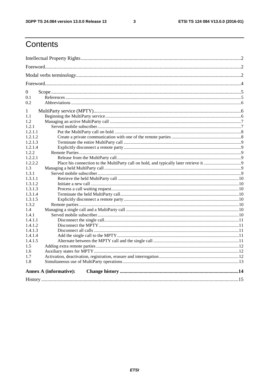$\mathbf{3}$ 

## Contents

| $\overline{0}$                |  |  |  |
|-------------------------------|--|--|--|
| 0.1                           |  |  |  |
| 0.2                           |  |  |  |
| 1                             |  |  |  |
| 1.1                           |  |  |  |
| 1.2                           |  |  |  |
| 1.2.1                         |  |  |  |
| 1.2.1.1                       |  |  |  |
| 1.2.1.2                       |  |  |  |
| 1.2.1.3                       |  |  |  |
| 1.2.1.4                       |  |  |  |
| 1.2.2                         |  |  |  |
| 1.2.2.1                       |  |  |  |
| 1.2.2.2                       |  |  |  |
| 1.3                           |  |  |  |
| 1.3.1                         |  |  |  |
| 1.3.1.1                       |  |  |  |
| 1.3.1.2                       |  |  |  |
| 1.3.1.3                       |  |  |  |
| 1.3.1.4                       |  |  |  |
| 1.3.1.5                       |  |  |  |
| 1.3.2                         |  |  |  |
| $1.4^{\circ}$                 |  |  |  |
| 1.4.1                         |  |  |  |
| 1.4.1.1                       |  |  |  |
| 1.4.1.2                       |  |  |  |
| 1.4.1.3                       |  |  |  |
| 1.4.1.4                       |  |  |  |
| 1.4.1.5                       |  |  |  |
| 1.5                           |  |  |  |
| 1.6                           |  |  |  |
| 1.7                           |  |  |  |
| 1.8                           |  |  |  |
| <b>Annex A (informative):</b> |  |  |  |
|                               |  |  |  |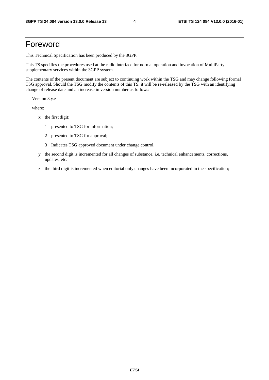### Foreword

This Technical Specification has been produced by the 3GPP.

This TS specifies the procedures used at the radio interface for normal operation and invocation of MultiParty supplementary services within the 3GPP system.

The contents of the present document are subject to continuing work within the TSG and may change following formal TSG approval. Should the TSG modify the contents of this TS, it will be re-released by the TSG with an identifying change of release date and an increase in version number as follows:

Version 3.y.z

where:

- x the first digit:
	- 1 presented to TSG for information;
	- 2 presented to TSG for approval;
	- 3 Indicates TSG approved document under change control.
- y the second digit is incremented for all changes of substance, i.e. technical enhancements, corrections, updates, etc.
- z the third digit is incremented when editorial only changes have been incorporated in the specification;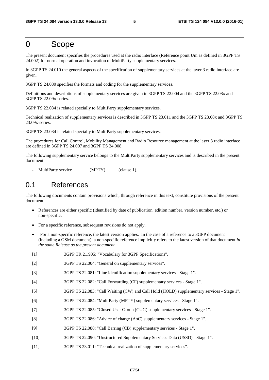### 0 Scope

The present document specifies the procedures used at the radio interface (Reference point Um as defined in 3GPP TS 24.002) for normal operation and invocation of MultiParty supplementary services.

In 3GPP TS 24.010 the general aspects of the specification of supplementary services at the layer 3 radio interface are given.

3GPP TS 24.080 specifies the formats and coding for the supplementary services.

Definitions and descriptions of supplementary services are given in 3GPP TS 22.004 and the 3GPP TS 22.08x and 3GPP TS 22.09x-series.

3GPP TS 22.084 is related specially to MultiParty supplementary services.

Technical realization of supplementary services is described in 3GPP TS 23.011 and the 3GPP TS 23.08x and 3GPP TS 23.09x-series.

3GPP TS 23.084 is related specially to MultiParty supplementary services.

The procedures for Call Control, Mobility Management and Radio Resource management at the layer 3 radio interface are defined in 3GPP TS 24.007 and 3GPP TS 24.008.

The following supplementary service belongs to the MultiParty supplementary services and is described in the present document:

MultiParty service (MPTY) (clause 1).

### 0.1 References

The following documents contain provisions which, through reference in this text, constitute provisions of the present document.

- References are either specific (identified by date of publication, edition number, version number, etc.) or non-specific.
- For a specific reference, subsequent revisions do not apply.
- For a non-specific reference, the latest version applies. In the case of a reference to a 3GPP document (including a GSM document), a non-specific reference implicitly refers to the latest version of that document *in the same Release as the present document*.
- [1] 3GPP TR 21.905: "Vocabulary for 3GPP Specifications".
- [2] 3GPP TS 22.004: "General on supplementary services".
- [3] 3GPP TS 22.081: "Line identification supplementary services Stage 1".
- [4] 3GPP TS 22.082: "Call Forwarding (CF) supplementary services Stage 1".
- [5] 3GPP TS 22.083: "Call Waiting (CW) and Call Hold (HOLD) supplementary services Stage 1".
- [6] 3GPP TS 22.084: "MultiParty (MPTY) supplementary services Stage 1".
- [7] 3GPP TS 22.085: "Closed User Group (CUG) supplementary services Stage 1".
- [8] 3GPP TS 22.086: "Advice of charge (AoC) supplementary services Stage 1".
- [9] 3GPP TS 22.088: "Call Barring (CB) supplementary services Stage 1".
- [10] 3GPP TS 22.090: "Unstructured Supplementary Services Data (USSD) Stage 1".
- [11] 3GPP TS 23.011: "Technical realization of supplementary services".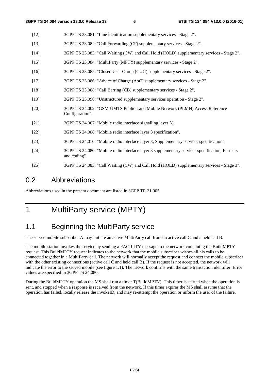- [12] 3GPP TS 23.081: "Line identification supplementary services Stage 2".
- [13] 3GPP TS 23.082: "Call Forwarding (CF) supplementary services Stage 2".
- [14] 3GPP TS 23.083: "Call Waiting (CW) and Call Hold (HOLD) supplementary services Stage 2".
- [15] 3GPP TS 23.084: "MultiParty (MPTY) supplementary services Stage 2".
- [16] 3GPP TS 23.085: "Closed User Group (CUG) supplementary services Stage 2".
- [17] 3GPP TS 23.086: "Advice of Charge (AoC) supplementary services Stage 2".
- [18] 3GPP TS 23.088: "Call Barring (CB) supplementary services Stage 2".
- [19] 3GPP TS 23.090: "Unstructured supplementary services operation Stage 2".
- [20] 3GPP TS 24.002: "GSM-UMTS Public Land Mobile Network (PLMN) Access Reference Configuration".
- [21] 3GPP TS 24.007: "Mobile radio interface signalling layer 3".
- [22] 3GPP TS 24.008: "Mobile radio interface layer 3 specification".
- [23] 3GPP TS 24.010: "Mobile radio interface layer 3; Supplementary services specification".
- [24] 3GPP TS 24.080: "Mobile radio interface layer 3 supplementary services specification; Formats and coding".
- [25] 3GPP TS 24.083: "Call Waiting (CW) and Call Hold (HOLD) supplementary services Stage 3".

### 0.2 Abbreviations

Abbreviations used in the present document are listed in 3GPP TR 21.905.

# 1 MultiParty service (MPTY)

### 1.1 Beginning the MultiParty service

The served mobile subscriber A may initiate an active MultiParty call from an active call C and a held call B.

The mobile station invokes the service by sending a FACILITY message to the network containing the BuildMPTY request. This BuildMPTY request indicates to the network that the mobile subscriber wishes all his calls to be connected together in a MultiParty call. The network will normally accept the request and connect the mobile subscriber with the other existing connections (active call C and held call B). If the request is not accepted, the network will indicate the error to the served mobile (see figure 1.1). The network confirms with the same transaction identifier. Error values are specified in 3GPP TS 24.080.

During the BuildMPTY operation the MS shall run a timer T(BuildMPTY). This timer is started when the operation is sent, and stopped when a response is received from the network. If this timer expires the MS shall assume that the operation has failed, locally release the invokeID, and may re-attempt the operation or inform the user of the failure.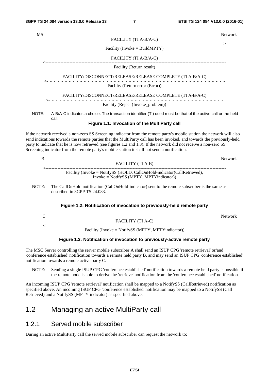| <b>MS</b>                                                                                                                      | Network                                                                                                                                                                                                                                                                                                                                                                                                                                                                |  |  |  |
|--------------------------------------------------------------------------------------------------------------------------------|------------------------------------------------------------------------------------------------------------------------------------------------------------------------------------------------------------------------------------------------------------------------------------------------------------------------------------------------------------------------------------------------------------------------------------------------------------------------|--|--|--|
|                                                                                                                                | FACILITY (TI A-B/A-C)                                                                                                                                                                                                                                                                                                                                                                                                                                                  |  |  |  |
|                                                                                                                                | Facility (Invoke = BuildMPTY)                                                                                                                                                                                                                                                                                                                                                                                                                                          |  |  |  |
|                                                                                                                                | FACILITY (TI A-B/A-C)                                                                                                                                                                                                                                                                                                                                                                                                                                                  |  |  |  |
|                                                                                                                                | Facility (Return result)                                                                                                                                                                                                                                                                                                                                                                                                                                               |  |  |  |
|                                                                                                                                | FACILITY/DISCONNECT/RELEASE/RELEASE COMPLETE (TI A-B/A-C)                                                                                                                                                                                                                                                                                                                                                                                                              |  |  |  |
|                                                                                                                                | Facility (Return error (Error))                                                                                                                                                                                                                                                                                                                                                                                                                                        |  |  |  |
|                                                                                                                                | FACILITY/DISCONNECT/RELEASE/RELEASE COMPLETE (TI A-B/A-C)                                                                                                                                                                                                                                                                                                                                                                                                              |  |  |  |
|                                                                                                                                | Facility (Reject (Invoke_problem))                                                                                                                                                                                                                                                                                                                                                                                                                                     |  |  |  |
| NOTE:<br>A-B/A-C indicates a choice. The transaction identifier (TI) used must be that of the active call or the held<br>call. |                                                                                                                                                                                                                                                                                                                                                                                                                                                                        |  |  |  |
|                                                                                                                                | Figure 1.1: Invocation of the MultiParty call                                                                                                                                                                                                                                                                                                                                                                                                                          |  |  |  |
|                                                                                                                                | If the network received a non-zero SS Screening indicator from the remote party's mobile station the network will also<br>send indications towards the remote parties that the MultiParty call has been invoked, and towards the previously-held<br>party to indicate that he is now retrieved (see figures 1.2 and 1.3). If the network did not receive a non-zero SS<br>Screening indicator from the remote party's mobile station it shall not send a notification. |  |  |  |
| $\bf{B}$                                                                                                                       | Network                                                                                                                                                                                                                                                                                                                                                                                                                                                                |  |  |  |
|                                                                                                                                | FACILITY (TI A-B)                                                                                                                                                                                                                                                                                                                                                                                                                                                      |  |  |  |
|                                                                                                                                | Facility (Invoke = NotifySS (HOLD, CallOnHold-indicator(CallRetrieved),<br>$Invoke = NotifySS (MPTY, MPTY indicator))$                                                                                                                                                                                                                                                                                                                                                 |  |  |  |
| NOTE:                                                                                                                          | The CallOnHold notification (CallOnHold-indicator) sent to the remote subscriber is the same as<br>described in 3GPP TS 24.083.                                                                                                                                                                                                                                                                                                                                        |  |  |  |
|                                                                                                                                |                                                                                                                                                                                                                                                                                                                                                                                                                                                                        |  |  |  |

#### **Figure 1.2: Notification of invocation to previously-held remote party**

|                                                     | Network |
|-----------------------------------------------------|---------|
| FACILITY (TI A-C)                                   |         |
|                                                     |         |
| Facility (Invoke = NotifySS (MPTY, MPTY indicator)) |         |

#### **Figure 1.3: Notification of invocation to previously-active remote party**

The MSC Server controlling the server mobile subscriber A shall send an ISUP CPG 'remote retrieval' or/and 'conference established' notification towards a remote held party B, and may send an ISUP CPG 'conference established' notification towards a remote active party C.

NOTE: Sending a single ISUP CPG 'conference established' notification towards a remote held party is possible if the remote node is able to derive the 'retrieve' notification from the 'conference established' notification.

An incoming ISUP CPG 'remote retrieval' notification shall be mapped to a NotifySS (CallRetrieved) notification as specified above. An incoming ISUP CPG 'conference established' notification may be mapped to a NotifySS (Call Retrieved) and a NotifySS (MPTY indicator) as specified above.

### 1.2 Managing an active MultiParty call

#### 1.2.1 Served mobile subscriber

During an active MultiParty call the served mobile subscriber can request the network to: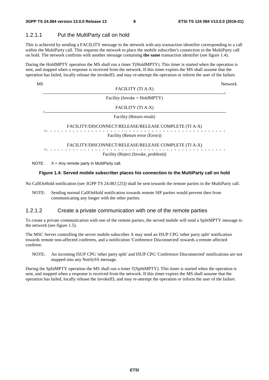#### 1.2.1.1 Put the MultiParty call on hold

This is achieved by sending a FACILITY message to the network with any transaction identifier corresponding to a call within the MultiParty call. This requests the network to place the mobile subscriber's connection to the MultiParty call on hold. The network confirms with another message containing **the same** transaction identifier (see figure 1.4).

During the HoldMPTY operation the MS shall run a timer T(HoldMPTY). This timer is started when the operation is sent, and stopped when a response is received from the network. If this timer expires the MS shall assume that the operation has failed, locally release the invokeID, and may re-attempt the operation or inform the user of the failure.

| MS |                                                                   | <b>Network</b> |
|----|-------------------------------------------------------------------|----------------|
|    | FACILITY (TI A-X)                                                 |                |
|    | ---------------------------------<br>Facility (Invoke = HoldMPTY) |                |
|    | FACILITY (TI A-X)                                                 |                |
|    | Facility (Return result)                                          |                |
|    | FACILITY/DISCONNECT/RELEASE/RELEASE COMPLETE (TI A-X)             |                |
|    | Facility (Return error (Error))                                   |                |
|    | FACILITY/DISCONNECT/RELEASE/RELEASE COMPLETE (TI A-X)             |                |
|    | Facility (Reject (Invoke_problem))                                |                |
|    |                                                                   |                |

NOTE:  $X = Any$  remote party in MultiParty call.

#### **Figure 1.4: Served mobile subscriber places his connection to the MultiParty call on hold**

No CallOnHold notification (see 3GPP TS 24.083 [25]) shall be sent towards the remote parties in the MultiParty call.

NOTE: Sending normal CallOnHold notification towards remote SIP parties would prevent then from communicating any longer with the other parties.

#### 1.2.1.2 Create a private communication with one of the remote parties

To create a private communication with one of the remote parties, the served mobile will send a SplitMPTY message to the network (see figure 1.5).

The MSC Server controlling the server mobile subscriber A may send an ISUP CPG 'other party split' notification towards remote non-affected conferees, and a notification 'Conference Disconnected' towards a remote affected conferee.

NOTE: An incoming ISUP CPG 'other party split' and ISUP CPG 'Conference Disconnected' notifications are not mapped into any NotifySS message.

During the SplitMPTY operation the MS shall run a timer T(SplitMPTY). This timer is started when the operation is sent, and stopped when a response is received from the network. If this timer expires the MS shall assume that the operation has failed, locally release the invokeID, and may re-attempt the operation or inform the user of the failure.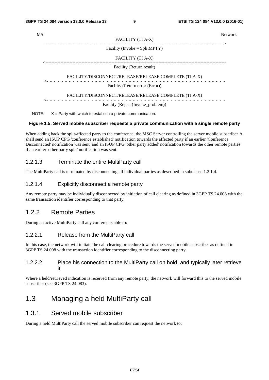| MS |                                                                    | <b>Network</b> |
|----|--------------------------------------------------------------------|----------------|
|    | FACILITY (TI A-X)                                                  |                |
|    | Facility (Invoke = $SplitMPTY$ )                                   |                |
|    | FACILITY (TI A-X)                                                  |                |
|    | Facility (Return result)                                           |                |
|    | FACILITY/DISCONNECT/RELEASE/RELEASE COMPLETE (TI A-X)              |                |
|    | Facility (Return error (Error))                                    |                |
|    | FACILITY/DISCONNECT/RELEASE/RELEASE COMPLETE (TI A-X)              |                |
|    | Facility (Reject (Invoke_problem))                                 |                |
|    | NOTE: $X =$ Party with which to establish a private communication. |                |

#### **Figure 1.5: Served mobile subscriber requests a private communication with a single remote party**

When adding back the split/affected party to the conference, the MSC Server controlling the server mobile subscriber A shall send an ISUP CPG 'conference established' notification towards the affected party if an earlier 'Conference Disconnected' notification was sent, and an ISUP CPG 'other party added' notification towards the other remote parties if an earlier 'other party split' notification was sent.

#### 1.2.1.3 Terminate the entire MultiParty call

The MultiParty call is terminated by disconnecting all individual parties as described in subclause 1.2.1.4.

#### 1.2.1.4 Explicitly disconnect a remote party

Any remote party may be individually disconnected by initiation of call clearing as defined in 3GPP TS 24.008 with the same transaction identifier corresponding to that party.

#### 1.2.2 Remote Parties

During an active MultiParty call any conferee is able to:

#### 1.2.2.1 Release from the MultiParty call

In this case, the network will initiate the call clearing procedure towards the served mobile subscriber as defined in 3GPP TS 24.008 with the transaction identifier corresponding to the disconnecting party.

#### 1.2.2.2 Place his connection to the MultiParty call on hold, and typically later retrieve it

Where a held/retrieved indication is received from any remote party, the network will forward this to the served mobile subscriber (see 3GPP TS 24.083).

### 1.3 Managing a held MultiParty call

#### 1.3.1 Served mobile subscriber

During a held MultiParty call the served mobile subscriber can request the network to: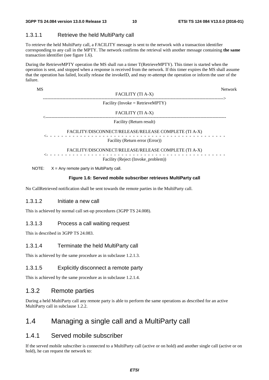#### 1.3.1.1 Retrieve the held MultiParty call

To retrieve the held MultiParty call, a FACILITY message is sent to the network with a transaction identifier corresponding to any call in the MPTY. The network confirms the retrieval with another message containing **the same** transaction identifier (see figure 1.6).

During the RetrieveMPTY operation the MS shall run a timer T(RetrieveMPTY). This timer is started when the operation is sent, and stopped when a response is received from the network. If this timer expires the MS shall assume that the operation has failed, locally release the invokeID, and may re-attempt the operation or inform the user of the failure.

#### MS Network FACILITY (TI A-X) ------------------------------------------------------------------------------------------------------------------------> Facility (Invoke = RetrieveMPTY) FACILITY (TI A-X) <------------------------------------------------------------------------------------------------------------------------ Facility (Return result) FACILITY/DISCONNECT/RELEASE/RELEASE COMPLETE (TI A-X) <- - - - - - - - - - - - - - - - - - - - - - - - - - - - - - - - - - - - - - - - - - - - - - - - Facility (Return error (Error)) FACILITY/DISCONNECT/RELEASE/RELEASE COMPLETE (TI A-X) <- - - - - - - - - - - - - - - - - - - - - - - - - - - - - - - - - - - - - - - - - - - - - - - - Facility (Reject (Invoke\_problem))

NOTE:  $X = Any$  remote party in MultiParty call.

#### **Figure 1.6: Served mobile subscriber retrieves MultiParty call**

No CallRetrieved notification shall be sent towards the remote parties in the MultiParty call.

#### 1.3.1.2 Initiate a new call

This is achieved by normal call set-up procedures (3GPP TS 24.008).

#### 1.3.1.3 Process a call waiting request

This is described in 3GPP TS 24.083.

#### 1.3.1.4 Terminate the held MultiParty call

This is achieved by the same procedure as in subclause 1.2.1.3.

#### 1.3.1.5 Explicitly disconnect a remote party

This is achieved by the same procedure as in subclause 1.2.1.4.

#### 1.3.2 Remote parties

During a held MultiParty call any remote party is able to perform the same operations as described for an active MultiParty call in subclause 1.2.2.

### 1.4 Managing a single call and a MultiParty call

#### 1.4.1 Served mobile subscriber

If the served mobile subscriber is connected to a MultiParty call (active or on hold) and another single call (active or on hold), he can request the network to: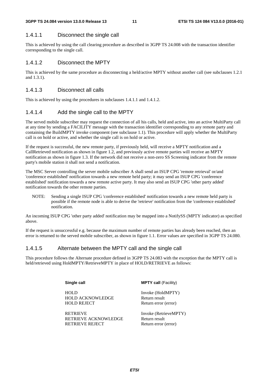#### 1.4.1.1 Disconnect the single call

This is achieved by using the call clearing procedure as described in 3GPP TS 24.008 with the transaction identifier corresponding to the single call.

#### 1.4.1.2 Disconnect the MPTY

This is achieved by the same procedure as disconnecting a held/active MPTY without another call (see subclauses 1.2.1 and 1.3.1).

#### 1.4.1.3 Disconnect all calls

This is achieved by using the procedures in subclauses 1.4.1.1 and 1.4.1.2.

#### 1.4.1.4 Add the single call to the MPTY

The served mobile subscriber may request the connection of all his calls, held and active, into an active MultiParty call at any time by sending a FACILITY message with the transaction identifier corresponding to any remote party and containing the BuildMPTY invoke component (see subclause 1.1). This procedure will apply whether the MultiParty call is on hold or active, and whether the single call is on hold or active.

If the request is successful, the new remote party, if previously held, will receive a MPTY notification and a CallRetrieved notification as shown in figure 1.2, and previously active remote parties will receive an MPTY notification as shown in figure 1.3. If the network did not receive a non-zero SS Screening indicator from the remote party's mobile station it shall not send a notification.

The MSC Server controlling the server mobile subscriber A shall send an ISUP CPG 'remote retrieval' or/and 'conference established' notification towards a new remote held party; it may send an ISUP CPG 'conference established' notification towards a new remote active party. It may also send an ISUP CPG 'other party added' notification towards the other remote parties.

NOTE: Sending a single ISUP CPG 'conference established' notification towards a new remote held party is possible if the remote node is able to derive the 'retrieve' notification from the 'conference established' notification.

An incoming ISUP CPG 'other party added' notification may be mapped into a NotifySS (MPTY indicator) as specified above.

If the request is unsuccessful e.g. because the maximum number of remote parties has already been reached, then an error is returned to the served mobile subscriber, as shown in figure 1.1. Error values are specified in 3GPP TS 24.080.

#### 1.4.1.5 Alternate between the MPTY call and the single call

This procedure follows the Alternate procedure defined in 3GPP TS 24.083 with the exception that the MPTY call is held/retrieved using HoldMPTY/RetrieveMPTY in place of HOLD/RETRIEVE as follows:

> **Single call MPTY call** (Facility) HOLD Invoke (HoldMPTY) HOLD ACKNOWLEDGE Return result<br>
> HOLD REJECT Return error Return error (error) RETRIEVE Invoke (RetrieveMPTY) RETRIEVE ACKNOWLEDGE Return result

RETRIEVE REJECT Return error (error)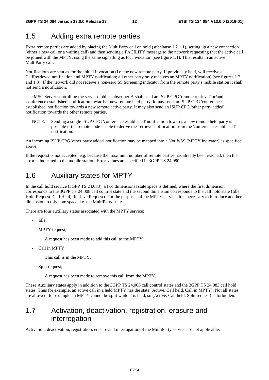### 1.5 Adding extra remote parties

Extra remote parties are added by placing the MultiParty call on hold (subclause 1.2.1.1), setting up a new connection (either a new call or a waiting call) and then sending a FACILITY message to the network requesting that the active call be joined with the MPTY, using the same signalling as for invocation (see figure 1.1). This results in an active MultiParty call.

Notifications are sent as for the initial invocation (i.e. the new remote party, if previously held, will receive a CallRetrieved notification and MPTY notification; all other party only receives an MPTY notification) (see figures 1.2 and 1.3). If the network did not receive a non-zero SS Screening indicator from the remote party's mobile station it shall not send a notification.

The MSC Server controlling the server mobile subscriber A shall send an ISUP CPG 'remote retrieval' or/and 'conference established' notification towards a new remote held party; it may send an ISUP CPG 'conference established' notification towards a new remote active party. It may also send an ISUP CPG 'other party added' notification towards the other remote parties.

NOTE: Sending a single ISUP CPG 'conference established' notification towards a new remote held party is possible if the remote node is able to derive the 'retrieve' notification from the 'conference established' notification.

An incoming ISUP CPG 'other party added' notification may be mapped into a NotifySS (MPTY indicator) as specified above.

If the request is not accepted, e.g. because the maximum number of remote parties has already been reached, then the error is indicated to the mobile station. Error values are specified in 3GPP TS 24.080.

### 1.6 Auxiliary states for MPTY

In the call hold service (3GPP TS 24.083), a two dimensional state space is defined, where the first dimension corresponds to the 3GPP TS 24.008 call control state and the second dimension corresponds to the call hold state (Idle, Hold Request, Call Held, Retrieve Request). For the purposes of the MPTY service, it is necessary to introduce another dimension to this state space, i.e. the MultiParty state.

There are four auxiliary states associated with the MPTY service:

- Idle;
- MPTY request;

A request has been made to add this call to the MPTY.

Call in MPTY;

This call is in the MPTY.

Split request;

A request has been made to remove this call from the MPTY.

These Auxiliary states apply in addition to the 3GPP TS 24.008 call control states and the 3GPP TS 24.083 call hold states. Thus for example, an active call in a held MPTY has the state (Active, Call held, Call in MPTY). Not all states are allowed, for example an MPTY cannot be split while it is held, so (Active, Call held, Split request) is forbidden.

### 1.7 Activation, deactivation, registration, erasure and interrogation

Activation, deactivation, registration, erasure and interrogation of the MultiParty service are not applicable.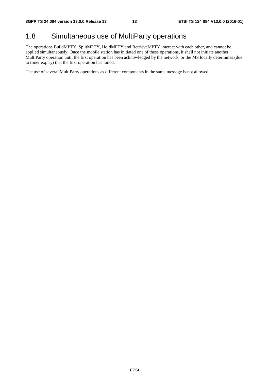### 1.8 Simultaneous use of MultiParty operations

The operations BuildMPTY, SplitMPTY, HoldMPTY and RetrieveMPTY interact with each other, and cannot be applied simultaneously. Once the mobile station has initiated one of these operations, it shall not initiate another MultiParty operation until the first operation has been acknowledged by the network, or the MS locally determines (due to timer expiry) that the first operation has failed.

The use of several MultiParty operations as different components in the same message is not allowed.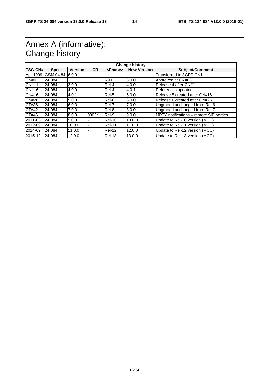### Annex A (informative): Change history

| <b>TSG CN#</b> | <b>Spec</b>       | <b>Version</b> | <b>CR</b> | <phase></phase> | <b>New Version</b> | <b>Subject/Comment</b>                  |
|----------------|-------------------|----------------|-----------|-----------------|--------------------|-----------------------------------------|
| Apr 1999       | IGSM 04.84 I6.0.0 |                |           |                 |                    | Transferred to 3GPP CN1                 |
| CN#03          | 24.084            |                |           | <b>R99</b>      | 3.0.0              | Approved at CN#03                       |
| CN#11          | 24.084            | 3.0.0          |           | Rel-4           | 4.0.0              | Release 4 after CN#11                   |
| CN#16          | 24.084            | 4.0.0          |           | Rel-4           | 4.0.1              | References updated                      |
| CN#16          | 24.084            | 4.0.1          |           | Rel-5           | 5.0.0              | Release 5 created after CN#16           |
| <b>CN#26</b>   | 24.084            | 5.0.0          |           | Rel-6           | 6.0.0              | Release 6 created after CN#26           |
| CT#36          | 24.084            | 6.0.0          |           | Rel-7           | 7.0.0              | Upgraded unchanged from Rel-6           |
| CT#42          | 24.084            | 7.0.0          |           | Rel-8           | 8.0.0              | Upgraded unchanged from Rel-7           |
| CT#46          | 24.084            | 8.0.0          | 0002r1    | Rel-9           | 9.0.0              | MPTY notifications - remote SIP parties |
| 2011-03        | 24.084            | 9.0.0          |           | Rel-10          | 10.0.0             | Update to Rel-10 version (MCC)          |
| 2012-09        | 24.084            | 10.0.0         |           | Rel-11          | 11.0.0             | Update to Rel-11 version (MCC)          |
| 2014-09        | 24.084            | 11.0.0         |           | Rel-12          | 12.0.0             | Update to Rel-12 version (MCC)          |
| 2015-12        | 24.084            | 12.0.0         |           | $ReI-13$        | 13.0.0             | Update to Rel-13 version (MCC)          |